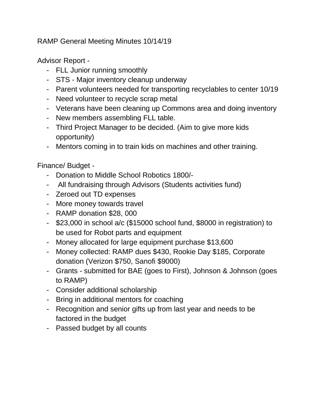RAMP General Meeting Minutes 10/14/19

Advisor Report -

- FLL Junior running smoothly
- STS Major inventory cleanup underway
- Parent volunteers needed for transporting recyclables to center 10/19
- Need volunteer to recycle scrap metal
- Veterans have been cleaning up Commons area and doing inventory
- New members assembling FLL table.
- Third Project Manager to be decided. (Aim to give more kids opportunity)
- Mentors coming in to train kids on machines and other training.

Finance/ Budget -

- Donation to Middle School Robotics 1800/-
- All fundraising through Advisors (Students activities fund)
- Zeroed out TD expenses
- More money towards travel
- RAMP donation \$28, 000
- \$23,000 in school a/c (\$15000 school fund, \$8000 in registration) to be used for Robot parts and equipment
- Money allocated for large equipment purchase \$13,600
- Money collected: RAMP dues \$430, Rookie Day \$185, Corporate donation (Verizon \$750, Sanofi \$9000)
- Grants submitted for BAE (goes to First), Johnson & Johnson (goes to RAMP)
- Consider additional scholarship
- Bring in additional mentors for coaching
- Recognition and senior gifts up from last year and needs to be factored in the budget
- Passed budget by all counts